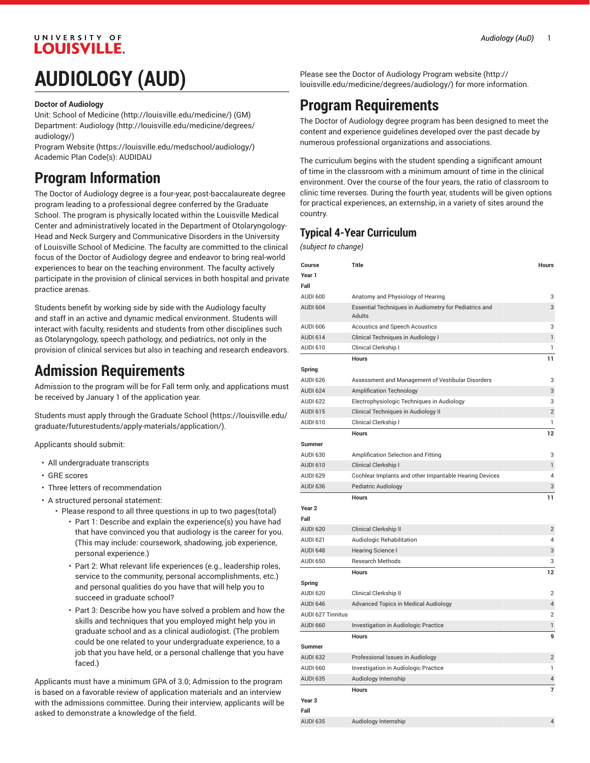# **LOUISVILLE. AUDIOLOGY (AUD)**

#### **Doctor of Audiology**

UNIVERSITY OF

Unit: [School of Medicine \(http://louisville.edu/medicine/\)](http://louisville.edu/medicine/) (GM) Department: [Audiology](http://louisville.edu/medicine/degrees/audiology/) [\(http://louisville.edu/medicine/degrees/](http://louisville.edu/medicine/degrees/audiology/) [audiology/](http://louisville.edu/medicine/degrees/audiology/))

[Program](https://louisville.edu/medschool/audiology/) Website [\(https://louisville.edu/medschool/audiology/\)](https://louisville.edu/medschool/audiology/) Academic Plan Code(s): AUDIDAU

## **Program Information**

The Doctor of Audiology degree is a four-year, post-baccalaureate degree program leading to a professional degree conferred by the Graduate School. The program is physically located within the Louisville Medical Center and administratively located in the Department of Otolaryngology-Head and Neck Surgery and Communicative Disorders in the University of Louisville School of Medicine. The faculty are committed to the clinical focus of the Doctor of Audiology degree and endeavor to bring real-world experiences to bear on the teaching environment. The faculty actively participate in the provision of clinical services in both hospital and private practice arenas.

Students benefit by working side by side with the Audiology faculty and staff in an active and dynamic medical environment. Students will interact with faculty, residents and students from other disciplines such as Otolaryngology, speech pathology, and pediatrics, not only in the provision of clinical services but also in teaching and research endeavors.

### **Admission Requirements**

Admission to the program will be for Fall term only, and applications must be received by January 1 of the application year.

Students must apply through the [Graduate School](https://louisville.edu/graduate/futurestudents/apply-materials/application/) ([https://louisville.edu/](https://louisville.edu/graduate/futurestudents/apply-materials/application/) [graduate/futurestudents/apply-materials/application/](https://louisville.edu/graduate/futurestudents/apply-materials/application/)).

Applicants should submit:

- All undergraduate transcripts
- GRE scores
- Three letters of recommendation
- A structured personal statement:
	- Please respond to all three questions in up to two pages(total)
		- Part 1: Describe and explain the experience(s) you have had that have convinced you that audiology is the career for you. (This may include: coursework, shadowing, job experience, personal experience.)
		- Part 2: What relevant life experiences (e.g., leadership roles, service to the community, personal accomplishments, etc.) and personal qualities do you have that will help you to succeed in graduate school?
		- Part 3: Describe how you have solved a problem and how the skills and techniques that you employed might help you in graduate school and as a clinical audiologist. (The problem could be one related to your undergraduate experience, to a job that you have held, or a personal challenge that you have faced.)

Applicants must have a minimum GPA of 3.0; Admission to the program is based on a favorable review of application materials and an interview with the admissions committee. During their interview, applicants will be asked to demonstrate a knowledge of the field.

Please see the Doctor of [Audiology](http://louisville.edu/medicine/degrees/audiology/) Program website ([http://](http://louisville.edu/medicine/degrees/audiology/) [louisville.edu/medicine/degrees/audiology/](http://louisville.edu/medicine/degrees/audiology/)) for more information.

## **Program Requirements**

The Doctor of Audiology degree program has been designed to meet the content and experience guidelines developed over the past decade by numerous professional organizations and associations.

The curriculum begins with the student spending a significant amount of time in the classroom with a minimum amount of time in the clinical environment. Over the course of the four years, the ratio of classroom to clinic time reverses. During the fourth year, students will be given options for practical experiences, an externship, in a variety of sites around the country.

### **Typical 4-Year Curriculum**

*(subject to change)*

| Course            | Title                                                           | Hours          |
|-------------------|-----------------------------------------------------------------|----------------|
| Year 1            |                                                                 |                |
| Fall              |                                                                 |                |
| <b>AUDI 600</b>   | Anatomy and Physiology of Hearing                               | 3              |
| <b>AUDI 604</b>   | Essential Techniques in Audiometry for Pediatrics and<br>Adults | 3              |
| <b>AUDI 606</b>   | Acoustics and Speech Acoustics                                  | 3              |
| <b>AUDI 614</b>   | Clinical Techniques in Audiology I                              | $\mathbf{1}$   |
| <b>AUDI 610</b>   | Clinical Clerkship I                                            | 1              |
|                   | <b>Hours</b>                                                    | 11             |
| Spring            |                                                                 |                |
| <b>AUDI 626</b>   | Assessment and Management of Vestibular Disorders               | 3              |
| <b>AUDI 624</b>   | <b>Amplification Technology</b>                                 | 3              |
| <b>AUDI 622</b>   | Electrophysiologic Techniques in Audiology                      | 3              |
| <b>AUDI 615</b>   | Clinical Techniques in Audiology II                             | $\overline{2}$ |
| <b>AUDI 610</b>   | Clinical Clerkship I                                            | 1              |
|                   | Hours                                                           | 12             |
| Summer            |                                                                 |                |
| <b>AUDI 630</b>   | Amplification Selection and Fitting                             | 3              |
| <b>AUDI 610</b>   | Clinical Clerkship I                                            | $\mathbf{1}$   |
| <b>AUDI 629</b>   | Cochlear Implants and other Impantable Hearing Devices          | $\overline{4}$ |
| <b>AUDI 636</b>   | Pediatric Audiology                                             | 3              |
|                   | <b>Hours</b>                                                    | 11             |
| Year <sub>2</sub> |                                                                 |                |
| Fall              |                                                                 |                |
| <b>AUDI 620</b>   | Clinical Clerkship II                                           | $\overline{2}$ |
| <b>AUDI 621</b>   | Audiologic Rehabilitation                                       | $\overline{4}$ |
| <b>AUDI 648</b>   | <b>Hearing Science I</b>                                        | 3              |
| <b>AUDI 650</b>   | <b>Research Methods</b>                                         | 3              |
|                   | <b>Hours</b>                                                    | 12             |
| Spring            |                                                                 |                |
| <b>AUDI 620</b>   | Clinical Clerkship II                                           | $\overline{2}$ |
| <b>AUDI 646</b>   | <b>Advanced Topics in Medical Audiology</b>                     | 4              |
| AUDI 627 Tinnitus |                                                                 | $\overline{2}$ |
| <b>AUDI 660</b>   | Investigation in Audiologic Practice                            | 1              |
|                   | <b>Hours</b>                                                    | 9              |
| <b>Summer</b>     |                                                                 |                |
| <b>AUDI 632</b>   | Professional Issues in Audiology                                | $\overline{2}$ |
| <b>AUDI 660</b>   | Investigation in Audiologic Practice                            | 1              |
| <b>AUDI 635</b>   | Audiology Internship                                            | 4              |
|                   | <b>Hours</b>                                                    | $\overline{7}$ |
| Year <sub>3</sub> |                                                                 |                |
| Fall              |                                                                 |                |
| <b>AUDI 635</b>   | Audiology Internship                                            | $\overline{4}$ |